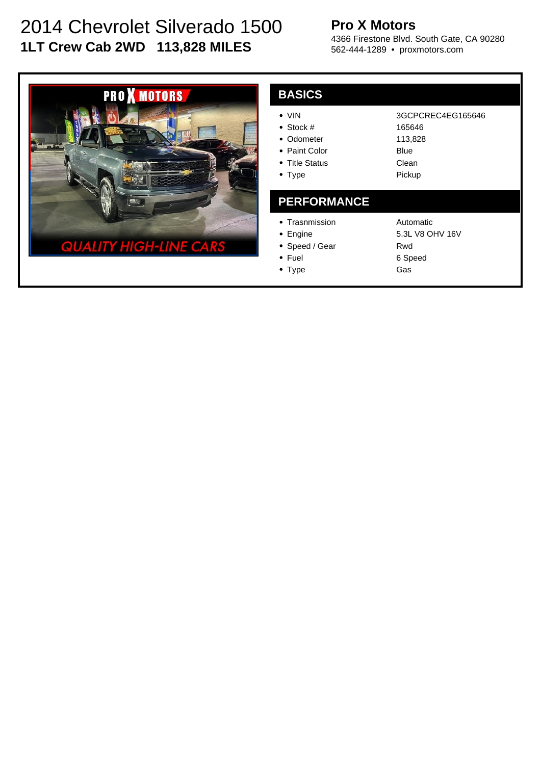# 2014 Chevrolet Silverado 1500 **1LT Crew Cab 2WD 113,828 MILES**

## **Pro X Motors**

4366 Firestone Blvd. South Gate, CA 90280 562-444-1289 • proxmotors.com



| <b>BASICS</b>                                                                                 |                                                                   |
|-----------------------------------------------------------------------------------------------|-------------------------------------------------------------------|
| $\bullet$ VIN<br>• Stock #<br>• Odometer<br>• Paint Color<br>• Title Status<br>$\bullet$ Type | 3GCPCREC4EG165646<br>165646<br>113,828<br>Blue<br>Clean<br>Pickup |
|                                                                                               |                                                                   |
| <b>PERFORMANCE</b>                                                                            |                                                                   |
| • Trasnmission<br>Engine                                                                      | Automatic<br>5.3L V8 OHV 16V                                      |

- Speed / Gear
- Fuel
- Type

Rwd 6 Speed Gas